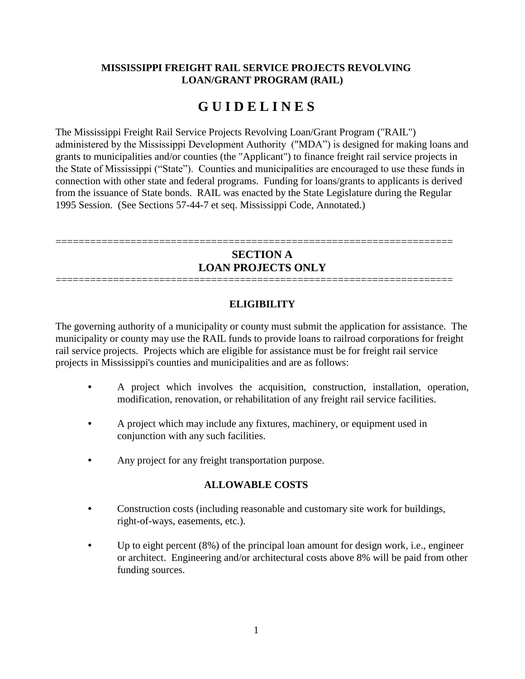### **MISSISSIPPI FREIGHT RAIL SERVICE PROJECTS REVOLVING LOAN/GRANT PROGRAM (RAIL)**

# **G U I D E L I N E S**

The Mississippi Freight Rail Service Projects Revolving Loan/Grant Program ("RAIL") administered by the Mississippi Development Authority ("MDA") is designed for making loans and grants to municipalities and/or counties (the "Applicant") to finance freight rail service projects in the State of Mississippi ("State"). Counties and municipalities are encouraged to use these funds in connection with other state and federal programs. Funding for loans/grants to applicants is derived from the issuance of State bonds. RAIL was enacted by the State Legislature during the Regular 1995 Session. (See Sections 57-44-7 et seq. Mississippi Code, Annotated.)

# **SECTION A LOAN PROJECTS ONLY** =====================================================================

=====================================================================

### **ELIGIBILITY**

The governing authority of a municipality or county must submit the application for assistance. The municipality or county may use the RAIL funds to provide loans to railroad corporations for freight rail service projects. Projects which are eligible for assistance must be for freight rail service projects in Mississippi's counties and municipalities and are as follows:

- A project which involves the acquisition, construction, installation, operation, modification, renovation, or rehabilitation of any freight rail service facilities.
- A project which may include any fixtures, machinery, or equipment used in conjunction with any such facilities.
- Any project for any freight transportation purpose.

### **ALLOWABLE COSTS**

- Construction costs (including reasonable and customary site work for buildings, right-of-ways, easements, etc.).
- Up to eight percent (8%) of the principal loan amount for design work, i.e., engineer or architect. Engineering and/or architectural costs above 8% will be paid from other funding sources.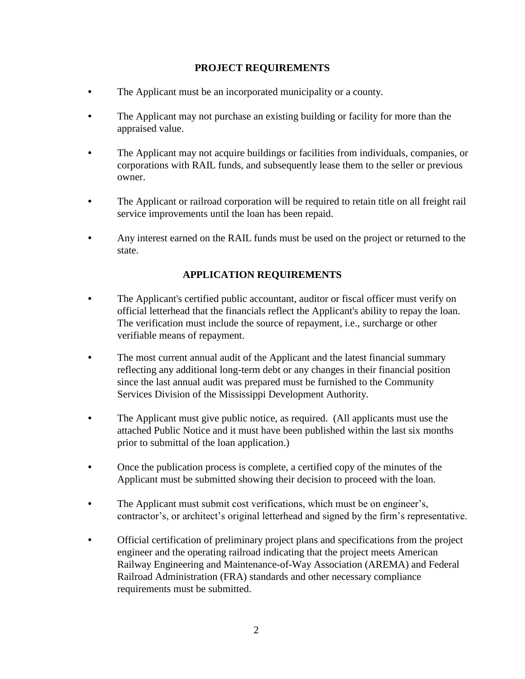### **PROJECT REQUIREMENTS**

- The Applicant must be an incorporated municipality or a county.
- The Applicant may not purchase an existing building or facility for more than the appraised value.
- The Applicant may not acquire buildings or facilities from individuals, companies, or corporations with RAIL funds, and subsequently lease them to the seller or previous owner.
- The Applicant or railroad corporation will be required to retain title on all freight rail service improvements until the loan has been repaid.
- Any interest earned on the RAIL funds must be used on the project or returned to the state.

# **APPLICATION REQUIREMENTS**

- The Applicant's certified public accountant, auditor or fiscal officer must verify on official letterhead that the financials reflect the Applicant's ability to repay the loan. The verification must include the source of repayment, i.e., surcharge or other verifiable means of repayment.
- The most current annual audit of the Applicant and the latest financial summary reflecting any additional long-term debt or any changes in their financial position since the last annual audit was prepared must be furnished to the Community Services Division of the Mississippi Development Authority.
- The Applicant must give public notice, as required. (All applicants must use the attached Public Notice and it must have been published within the last six months prior to submittal of the loan application.)
- Once the publication process is complete, a certified copy of the minutes of the Applicant must be submitted showing their decision to proceed with the loan.
- The Applicant must submit cost verifications, which must be on engineer's, contractor's, or architect's original letterhead and signed by the firm's representative.
- Official certification of preliminary project plans and specifications from the project engineer and the operating railroad indicating that the project meets American Railway Engineering and Maintenance-of-Way Association (AREMA) and Federal Railroad Administration (FRA) standards and other necessary compliance requirements must be submitted.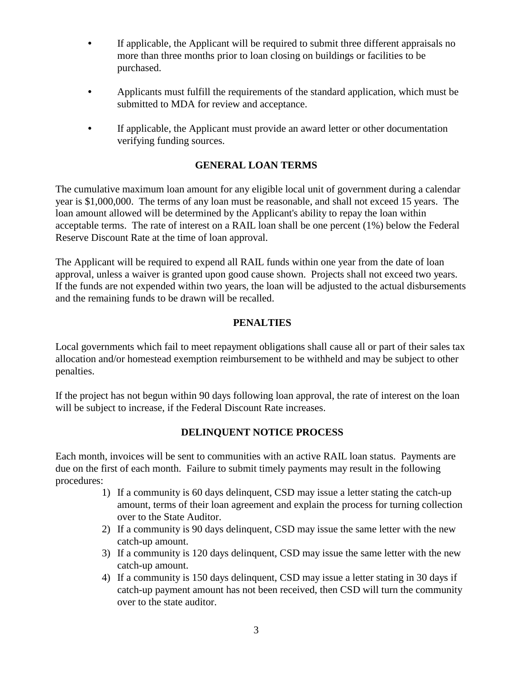- If applicable, the Applicant will be required to submit three different appraisals no more than three months prior to loan closing on buildings or facilities to be purchased.
- Applicants must fulfill the requirements of the standard application, which must be submitted to MDA for review and acceptance.
- If applicable, the Applicant must provide an award letter or other documentation verifying funding sources.

# **GENERAL LOAN TERMS**

The cumulative maximum loan amount for any eligible local unit of government during a calendar year is \$1,000,000. The terms of any loan must be reasonable, and shall not exceed 15 years. The loan amount allowed will be determined by the Applicant's ability to repay the loan within acceptable terms. The rate of interest on a RAIL loan shall be one percent (1%) below the Federal Reserve Discount Rate at the time of loan approval.

The Applicant will be required to expend all RAIL funds within one year from the date of loan approval, unless a waiver is granted upon good cause shown. Projects shall not exceed two years. If the funds are not expended within two years, the loan will be adjusted to the actual disbursements and the remaining funds to be drawn will be recalled.

### **PENALTIES**

Local governments which fail to meet repayment obligations shall cause all or part of their sales tax allocation and/or homestead exemption reimbursement to be withheld and may be subject to other penalties.

If the project has not begun within 90 days following loan approval, the rate of interest on the loan will be subject to increase, if the Federal Discount Rate increases.

### **DELINQUENT NOTICE PROCESS**

Each month, invoices will be sent to communities with an active RAIL loan status. Payments are due on the first of each month. Failure to submit timely payments may result in the following procedures:

- 1) If a community is 60 days delinquent, CSD may issue a letter stating the catch-up amount, terms of their loan agreement and explain the process for turning collection over to the State Auditor.
- 2) If a community is 90 days delinquent, CSD may issue the same letter with the new catch-up amount.
- 3) If a community is 120 days delinquent, CSD may issue the same letter with the new catch-up amount.
- 4) If a community is 150 days delinquent, CSD may issue a letter stating in 30 days if catch-up payment amount has not been received, then CSD will turn the community over to the state auditor.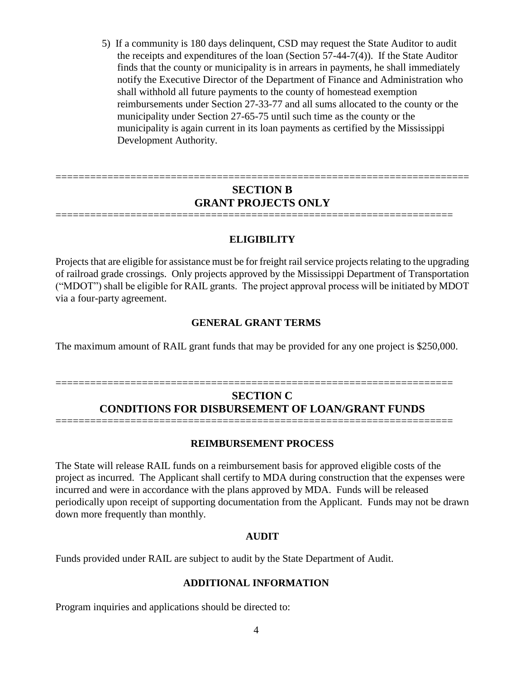5) If a community is 180 days delinquent, CSD may request the State Auditor to audit the receipts and expenditures of the loan (Section 57-44-7(4)). If the State Auditor finds that the county or municipality is in arrears in payments, he shall immediately notify the Executive Director of the Department of Finance and Administration who shall withhold all future payments to the county of homestead exemption reimbursements under Section 27-33-77 and all sums allocated to the county or the municipality under Section 27-65-75 until such time as the county or the municipality is again current in its loan payments as certified by the Mississippi Development Authority.

# **SECTION B GRANT PROJECTS ONLY**

=====================================================================

========================================================================

#### **ELIGIBILITY**

Projects that are eligible for assistance must be for freight rail service projects relating to the upgrading of railroad grade crossings. Only projects approved by the Mississippi Department of Transportation ("MDOT") shall be eligible for RAIL grants. The project approval process will be initiated by MDOT via a four-party agreement.

#### **GENERAL GRANT TERMS**

The maximum amount of RAIL grant funds that may be provided for any one project is \$250,000.

# **SECTION C CONDITIONS FOR DISBURSEMENT OF LOAN/GRANT FUNDS** =====================================================================

=====================================================================

#### **REIMBURSEMENT PROCESS**

The State will release RAIL funds on a reimbursement basis for approved eligible costs of the project as incurred. The Applicant shall certify to MDA during construction that the expenses were incurred and were in accordance with the plans approved by MDA. Funds will be released periodically upon receipt of supporting documentation from the Applicant. Funds may not be drawn down more frequently than monthly.

#### **AUDIT**

Funds provided under RAIL are subject to audit by the State Department of Audit.

#### **ADDITIONAL INFORMATION**

Program inquiries and applications should be directed to: